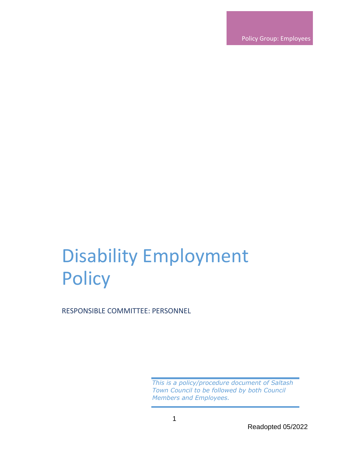Policy Group: Employees

# Disability Employment **Policy**

RESPONSIBLE COMMITTEE: PERSONNEL

*This is a policy/procedure document of Saltash Town Council to be followed by both Council Members and Employees.*

Readopted 05/2022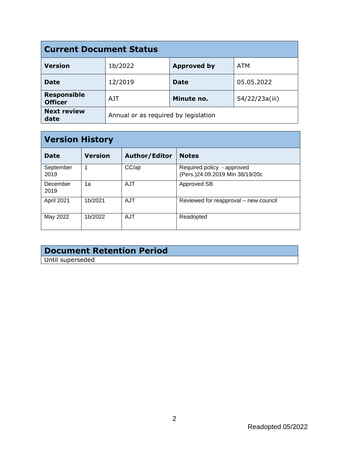| <b>Current Document Status</b>       |                                      |                    |                |  |
|--------------------------------------|--------------------------------------|--------------------|----------------|--|
| <b>Version</b>                       | 1b/2022                              | <b>Approved by</b> | ATM            |  |
| <b>Date</b>                          | 12/2019                              | <b>Date</b>        | 05.05.2022     |  |
| <b>Responsible</b><br><b>Officer</b> | A IT                                 | Minute no.         | 54/22/23a(iii) |  |
| <b>Next review</b><br>date           | Annual or as required by legislation |                    |                |  |

| <b>Version History</b> |                |               |                                                               |  |
|------------------------|----------------|---------------|---------------------------------------------------------------|--|
| <b>Date</b>            | <b>Version</b> | Author/Editor | <b>Notes</b>                                                  |  |
| September<br>2019      |                | CC/ajt        | Required policy - approved<br>(Pers.)24.09.2019 Min 38/19/20c |  |
| December<br>2019       | 1a             | AJT           | Approved SB                                                   |  |
| April 2021             | 1b/2021        | <b>AJT</b>    | Reviewed for reapproval - new council                         |  |
| May 2022               | 1b/2022        | <b>AJT</b>    | Readopted                                                     |  |

# **Document Retention Period**

Until superseded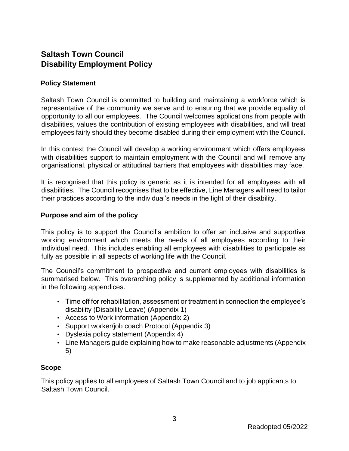# **Saltash Town Council Disability Employment Policy**

### **Policy Statement**

Saltash Town Council is committed to building and maintaining a workforce which is representative of the community we serve and to ensuring that we provide equality of opportunity to all our employees. The Council welcomes applications from people with disabilities, values the contribution of existing employees with disabilities, and will treat employees fairly should they become disabled during their employment with the Council.

In this context the Council will develop a working environment which offers employees with disabilities support to maintain employment with the Council and will remove any organisational, physical or attitudinal barriers that employees with disabilities may face.

It is recognised that this policy is generic as it is intended for all employees with all disabilities. The Council recognises that to be effective, Line Managers will need to tailor their practices according to the individual's needs in the light of their disability.

### **Purpose and aim of the policy**

This policy is to support the Council's ambition to offer an inclusive and supportive working environment which meets the needs of all employees according to their individual need. This includes enabling all employees with disabilities to participate as fully as possible in all aspects of working life with the Council.

The Council's commitment to prospective and current employees with disabilities is summarised below. This overarching policy is supplemented by additional information in the following appendices.

- Time off for rehabilitation, assessment or treatment in connection the employee's disability (Disability Leave) (Appendix 1)
- Access to Work information (Appendix 2)
- Support worker/job coach Protocol (Appendix 3)
- Dyslexia policy statement (Appendix 4)
- Line Managers guide explaining how to make reasonable adjustments (Appendix 5)

### **Scope**

This policy applies to all employees of Saltash Town Council and to job applicants to Saltash Town Council.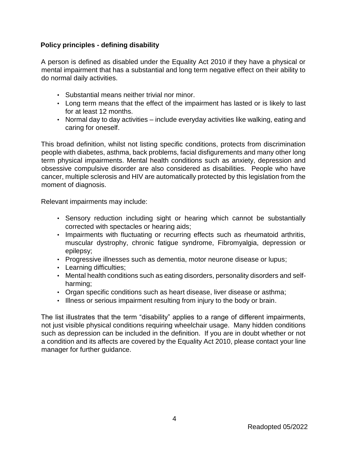# **Policy principles - defining disability**

A person is defined as disabled under the Equality Act 2010 if they have a physical or mental impairment that has a substantial and long term negative effect on their ability to do normal daily activities.

- Substantial means neither trivial nor minor.
- Long term means that the effect of the impairment has lasted or is likely to last for at least 12 months.
- Normal day to day activities include everyday activities like walking, eating and caring for oneself.

This broad definition, whilst not listing specific conditions, protects from discrimination people with diabetes, asthma, back problems, facial disfigurements and many other long term physical impairments. Mental health conditions such as anxiety, depression and obsessive compulsive disorder are also considered as disabilities. People who have cancer, multiple sclerosis and HIV are automatically protected by this legislation from the moment of diagnosis.

Relevant impairments may include:

- Sensory reduction including sight or hearing which cannot be substantially corrected with spectacles or hearing aids;
- Impairments with fluctuating or recurring effects such as rheumatoid arthritis, muscular dystrophy, chronic fatigue syndrome, Fibromyalgia, depression or epilepsy;
- Progressive illnesses such as dementia, motor neurone disease or lupus;
- Learning difficulties;
- Mental health conditions such as eating disorders, personality disorders and selfharming;
- Organ specific conditions such as heart disease, liver disease or asthma;
- Illness or serious impairment resulting from injury to the body or brain.

The list illustrates that the term "disability" applies to a range of different impairments, not just visible physical conditions requiring wheelchair usage. Many hidden conditions such as depression can be included in the definition. If you are in doubt whether or not a condition and its affects are covered by the Equality Act 2010, please contact your line manager for further guidance.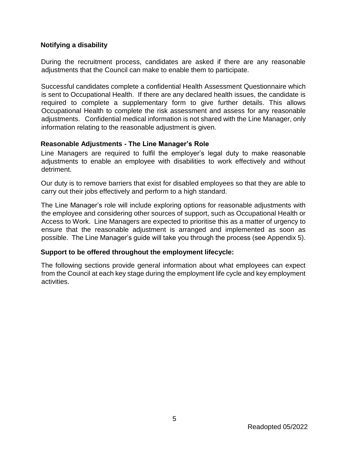### **Notifying a disability**

During the recruitment process, candidates are asked if there are any reasonable adjustments that the Council can make to enable them to participate.

Successful candidates complete a confidential Health Assessment Questionnaire which is sent to Occupational Health. If there are any declared health issues, the candidate is required to complete a supplementary form to give further details. This allows Occupational Health to complete the risk assessment and assess for any reasonable adjustments. Confidential medical information is not shared with the Line Manager, only information relating to the reasonable adjustment is given.

### **Reasonable Adjustments - The Line Manager's Role**

Line Managers are required to fulfil the employer's legal duty to make reasonable adjustments to enable an employee with disabilities to work effectively and without detriment.

Our duty is to remove barriers that exist for disabled employees so that they are able to carry out their jobs effectively and perform to a high standard.

The Line Manager's role will include exploring options for reasonable adjustments with the employee and considering other sources of support, such as Occupational Health or Access to Work. Line Managers are expected to prioritise this as a matter of urgency to ensure that the reasonable adjustment is arranged and implemented as soon as possible. The Line Manager's guide will take you through the process (see Appendix 5).

# **Support to be offered throughout the employment lifecycle:**

The following sections provide general information about what employees can expect from the Council at each key stage during the employment life cycle and key employment activities.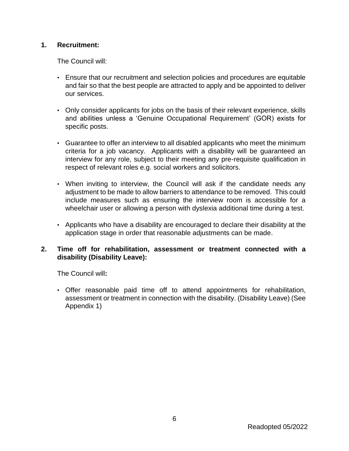## **1. Recruitment:**

The Council will:

- Ensure that our recruitment and selection policies and procedures are equitable and fair so that the best people are attracted to apply and be appointed to deliver our services.
- Only consider applicants for jobs on the basis of their relevant experience, skills and abilities unless a 'Genuine Occupational Requirement' (GOR) exists for specific posts.
- Guarantee to offer an interview to all disabled applicants who meet the minimum criteria for a job vacancy. Applicants with a disability will be guaranteed an interview for any role, subject to their meeting any pre-requisite qualification in respect of relevant roles e.g. social workers and solicitors.
- When inviting to interview, the Council will ask if the candidate needs any adjustment to be made to allow barriers to attendance to be removed. This could include measures such as ensuring the interview room is accessible for a wheelchair user or allowing a person with dyslexia additional time during a test.
- Applicants who have a disability are encouraged to declare their disability at the application stage in order that reasonable adjustments can be made.

### **2. Time off for rehabilitation, assessment or treatment connected with a disability (Disability Leave):**

The Council will**:** 

• Offer reasonable paid time off to attend appointments for rehabilitation, assessment or treatment in connection with the disability. (Disability Leave) (See Appendix 1)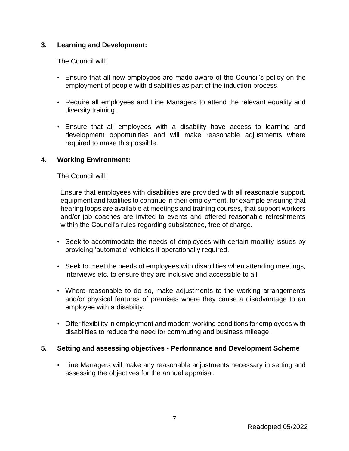## **3. Learning and Development:**

The Council will:

- Ensure that all new employees are made aware of the Council's policy on the employment of people with disabilities as part of the induction process.
- Require all employees and Line Managers to attend the relevant equality and diversity training.
- Ensure that all employees with a disability have access to learning and development opportunities and will make reasonable adjustments where required to make this possible.

### **4. Working Environment:**

The Council will:

Ensure that employees with disabilities are provided with all reasonable support, equipment and facilities to continue in their employment, for example ensuring that hearing loops are available at meetings and training courses, that support workers and/or job coaches are invited to events and offered reasonable refreshments within the Council's rules regarding subsistence, free of charge.

- Seek to accommodate the needs of employees with certain mobility issues by providing 'automatic' vehicles if operationally required.
- Seek to meet the needs of employees with disabilities when attending meetings, interviews etc. to ensure they are inclusive and accessible to all.
- Where reasonable to do so, make adjustments to the working arrangements and/or physical features of premises where they cause a disadvantage to an employee with a disability.
- Offer flexibility in employment and modern working conditions for employees with disabilities to reduce the need for commuting and business mileage.

### **5. Setting and assessing objectives - Performance and Development Scheme**

• Line Managers will make any reasonable adjustments necessary in setting and assessing the objectives for the annual appraisal.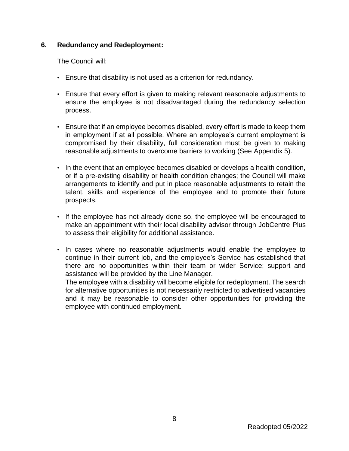### **6. Redundancy and Redeployment:**

The Council will:

- Ensure that disability is not used as a criterion for redundancy.
- Ensure that every effort is given to making relevant reasonable adjustments to ensure the employee is not disadvantaged during the redundancy selection process.
- Ensure that if an employee becomes disabled, every effort is made to keep them in employment if at all possible. Where an employee's current employment is compromised by their disability, full consideration must be given to making reasonable adjustments to overcome barriers to working (See Appendix 5).
- In the event that an employee becomes disabled or develops a health condition, or if a pre-existing disability or health condition changes; the Council will make arrangements to identify and put in place reasonable adjustments to retain the talent, skills and experience of the employee and to promote their future prospects.
- If the employee has not already done so, the employee will be encouraged to make an appointment with their local disability advisor through JobCentre Plus to assess their eligibility for additional assistance.
- In cases where no reasonable adjustments would enable the employee to continue in their current job, and the employee's Service has established that there are no opportunities within their team or wider Service; support and assistance will be provided by the Line Manager.

The employee with a disability will become eligible for redeployment. The search for alternative opportunities is not necessarily restricted to advertised vacancies and it may be reasonable to consider other opportunities for providing the employee with continued employment.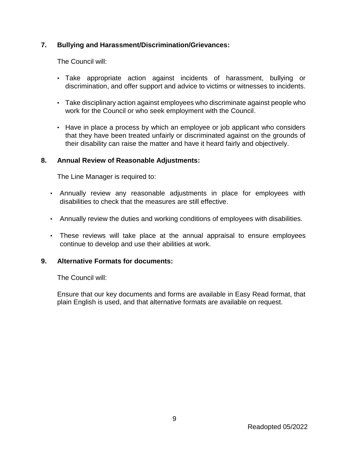## **7. Bullying and Harassment/Discrimination/Grievances:**

The Council will:

- Take appropriate action against incidents of harassment, bullying or discrimination, and offer support and advice to victims or witnesses to incidents.
- Take disciplinary action against employees who discriminate against people who work for the Council or who seek employment with the Council.
- Have in place a process by which an employee or job applicant who considers that they have been treated unfairly or discriminated against on the grounds of their disability can raise the matter and have it heard fairly and objectively.

### **8. Annual Review of Reasonable Adjustments:**

The Line Manager is required to:

- Annually review any reasonable adjustments in place for employees with disabilities to check that the measures are still effective.
- Annually review the duties and working conditions of employees with disabilities.
- These reviews will take place at the annual appraisal to ensure employees continue to develop and use their abilities at work.

### **9. Alternative Formats for documents:**

The Council will:

Ensure that our key documents and forms are available in Easy Read format, that plain English is used, and that alternative formats are available on request.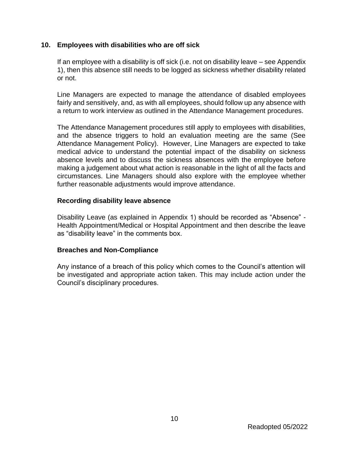### **10. Employees with disabilities who are off sick**

If an employee with a disability is off sick (i.e. not on disability leave – see Appendix 1), then this absence still needs to be logged as sickness whether disability related or not.

Line Managers are expected to manage the attendance of disabled employees fairly and sensitively, and, as with all employees, should follow up any absence with a return to work interview as outlined in the Attendance Management procedures.

The Attendance Management procedures still apply to employees with disabilities, and the absence triggers to hold an evaluation meeting are the same (See Attendance Management Policy). However, Line Managers are expected to take medical advice to understand the potential impact of the disability on sickness absence levels and to discuss the sickness absences with the employee before making a judgement about what action is reasonable in the light of all the facts and circumstances. Line Managers should also explore with the employee whether further reasonable adjustments would improve attendance.

### **Recording disability leave absence**

Disability Leave (as explained in Appendix 1) should be recorded as "Absence" - Health Appointment/Medical or Hospital Appointment and then describe the leave as "disability leave" in the comments box.

### **Breaches and Non-Compliance**

Any instance of a breach of this policy which comes to the Council's attention will be investigated and appropriate action taken. This may include action under the Council's disciplinary procedures.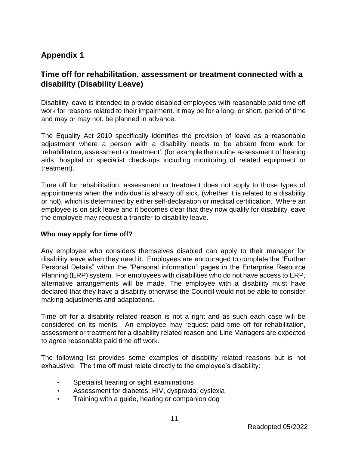# **Appendix 1**

# **Time off for rehabilitation, assessment or treatment connected with a disability (Disability Leave)**

Disability leave is intended to provide disabled employees with reasonable paid time off work for reasons related to their impairment. It may be for a long, or short, period of time and may or may not, be planned in advance.

The Equality Act 2010 specifically identifies the provision of leave as a reasonable adjustment where a person with a disability needs to be absent from work for 'rehabilitation, assessment or treatment'. (for example the routine assessment of hearing aids, hospital or specialist check-ups including monitoring of related equipment or treatment).

Time off for rehabilitation, assessment or treatment does not apply to those types of appointments when the individual is already off sick, (whether it is related to a disability or not), which is determined by either self-declaration or medical certification. Where an employee is on sick leave and it becomes clear that they now qualify for disability leave the employee may request a transfer to disability leave.

### **Who may apply for time off?**

Any employee who considers themselves disabled can apply to their manager for disability leave when they need it. Employees are encouraged to complete the "Further Personal Details" within the "Personal information" pages in the Enterprise Resource Planning (ERP) system. For employees with disabilities who do not have access to ERP, alternative arrangements will be made. The employee with a disability must have declared that they have a disability otherwise the Council would not be able to consider making adjustments and adaptations.

Time off for a disability related reason is not a right and as such each case will be considered on its merits. An employee may request paid time off for rehabilitation, assessment or treatment for a disability related reason and Line Managers are expected to agree reasonable paid time off work.

The following list provides some examples of disability related reasons but is not exhaustive. The time off must relate directly to the employee's disability:

- Specialist hearing or sight examinations
- Assessment for diabetes, HIV, dyspraxia, dyslexia
- Training with a guide, hearing or companion dog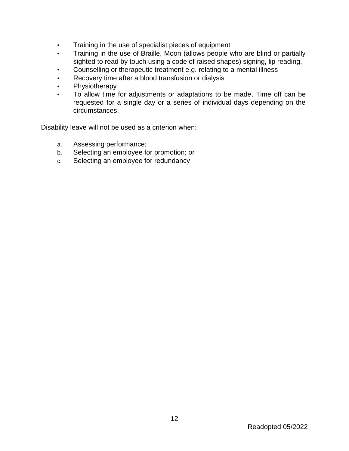- Training in the use of specialist pieces of equipment
- Training in the use of Braille, Moon (allows people who are blind or partially sighted to read by touch using a code of raised shapes) signing, lip reading,
- Counselling or therapeutic treatment e.g. relating to a mental illness
- Recovery time after a blood transfusion or dialysis
- Physiotherapy
- To allow time for adjustments or adaptations to be made. Time off can be requested for a single day or a series of individual days depending on the circumstances.

Disability leave will not be used as a criterion when:

- a. Assessing performance;
- b. Selecting an employee for promotion; or
- c. Selecting an employee for redundancy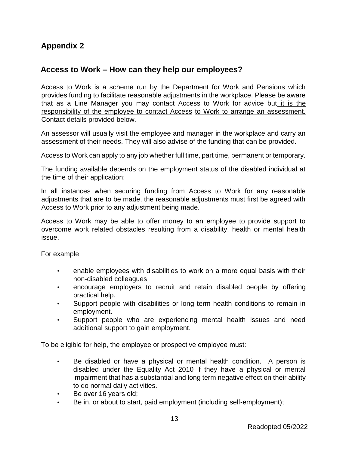# **Appendix 2**

# **Access to Work – How can they help our employees?**

Access to Work is a scheme run by the Department for Work and Pensions which provides funding to facilitate reasonable adjustments in the workplace. Please be aware that as a Line Manager you may contact Access to Work for advice but it is the responsibility of the employee to contact Access to Work to arrange an assessment. Contact details provided below.

An assessor will usually visit the employee and manager in the workplace and carry an assessment of their needs. They will also advise of the funding that can be provided.

Access to Work can apply to any job whether full time, part time, permanent or temporary.

The funding available depends on the employment status of the disabled individual at the time of their application:

In all instances when securing funding from Access to Work for any reasonable adjustments that are to be made, the reasonable adjustments must first be agreed with Access to Work prior to any adjustment being made.

Access to Work may be able to offer money to an employee to provide support to overcome work related obstacles resulting from a disability, health or mental health issue.

For example

- enable employees with disabilities to work on a more equal basis with their non-disabled colleagues
- encourage employers to recruit and retain disabled people by offering practical help.
- Support people with disabilities or long term health conditions to remain in employment.
- Support people who are experiencing mental health issues and need additional support to gain employment.

To be eligible for help, the employee or prospective employee must:

- Be disabled or have a physical or mental health condition. A person is disabled under the Equality Act 2010 if they have a physical or mental impairment that has a substantial and long term negative effect on their ability to do normal daily activities.
- Be over 16 years old;
- Be in, or about to start, paid employment (including self-employment);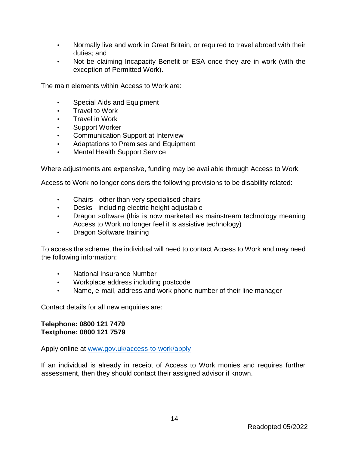- Normally live and work in Great Britain, or required to travel abroad with their duties; and
- Not be claiming Incapacity Benefit or ESA once they are in work (with the exception of Permitted Work).

The main elements within Access to Work are:

- Special Aids and Equipment
- Travel to Work
- Travel in Work
- Support Worker
- Communication Support at Interview
- Adaptations to Premises and Equipment
- Mental Health Support Service

Where adjustments are expensive, funding may be available through Access to Work.

Access to Work no longer considers the following provisions to be disability related:

- Chairs other than very specialised chairs
- Desks including electric height adjustable
- Dragon software (this is now marketed as mainstream technology meaning Access to Work no longer feel it is assistive technology)
- Dragon Software training

To access the scheme, the individual will need to contact Access to Work and may need the following information:

- National Insurance Number
- Workplace address including postcode
- Name, e-mail, address and work phone number of their line manager

Contact details for all new enquiries are:

### **Telephone: 0800 121 7479 Textphone: 0800 121 7579**

Apply online at [www.gov.uk/access-to-work/apply](file:///C:/Users/Secretary/AppData/Local/Microsoft/Windows/INetCache/Content.Outlook/EMQ2P2Y8/www.gov.uk/access-to-work/apply)

If an individual is already in receipt of Access to Work monies and requires further assessment, then they should contact their assigned advisor if known.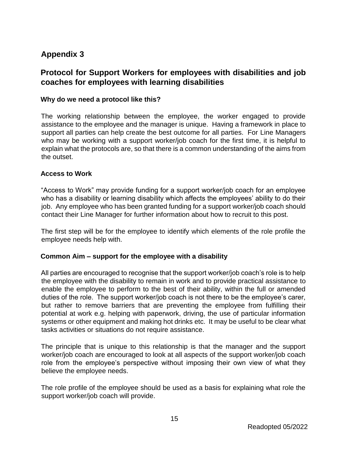# **Appendix 3**

# **Protocol for Support Workers for employees with disabilities and job coaches for employees with learning disabilities**

# **Why do we need a protocol like this?**

The working relationship between the employee, the worker engaged to provide assistance to the employee and the manager is unique. Having a framework in place to support all parties can help create the best outcome for all parties. For Line Managers who may be working with a support worker/job coach for the first time, it is helpful to explain what the protocols are, so that there is a common understanding of the aims from the outset.

### **Access to Work**

"Access to Work" may provide funding for a support worker/job coach for an employee who has a disability or learning disability which affects the employees' ability to do their job. Any employee who has been granted funding for a support worker/job coach should contact their Line Manager for further information about how to recruit to this post.

The first step will be for the employee to identify which elements of the role profile the employee needs help with.

# **Common Aim – support for the employee with a disability**

All parties are encouraged to recognise that the support worker/job coach's role is to help the employee with the disability to remain in work and to provide practical assistance to enable the employee to perform to the best of their ability, within the full or amended duties of the role. The support worker/job coach is not there to be the employee's carer, but rather to remove barriers that are preventing the employee from fulfilling their potential at work e.g. helping with paperwork, driving, the use of particular information systems or other equipment and making hot drinks etc. It may be useful to be clear what tasks activities or situations do not require assistance.

The principle that is unique to this relationship is that the manager and the support worker/job coach are encouraged to look at all aspects of the support worker/job coach role from the employee's perspective without imposing their own view of what they believe the employee needs.

The role profile of the employee should be used as a basis for explaining what role the support worker/job coach will provide.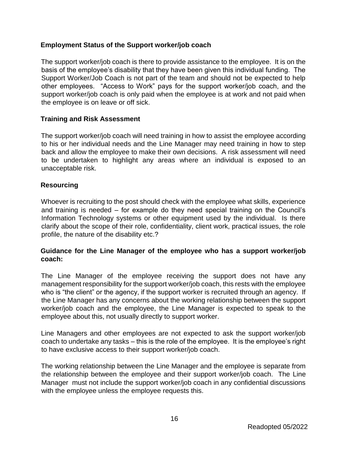## **Employment Status of the Support worker/job coach**

The support worker/job coach is there to provide assistance to the employee. It is on the basis of the employee's disability that they have been given this individual funding. The Support Worker/Job Coach is not part of the team and should not be expected to help other employees. "Access to Work" pays for the support worker/job coach, and the support worker/job coach is only paid when the employee is at work and not paid when the employee is on leave or off sick.

### **Training and Risk Assessment**

The support worker/job coach will need training in how to assist the employee according to his or her individual needs and the Line Manager may need training in how to step back and allow the employee to make their own decisions. A risk assessment will need to be undertaken to highlight any areas where an individual is exposed to an unacceptable risk.

### **Resourcing**

Whoever is recruiting to the post should check with the employee what skills, experience and training is needed – for example do they need special training on the Council's Information Technology systems or other equipment used by the individual. Is there clarify about the scope of their role, confidentiality, client work, practical issues, the role profile, the nature of the disability etc.?

### **Guidance for the Line Manager of the employee who has a support worker/job coach:**

The Line Manager of the employee receiving the support does not have any management responsibility for the support worker/job coach, this rests with the employee who is "the client" or the agency, if the support worker is recruited through an agency. If the Line Manager has any concerns about the working relationship between the support worker/job coach and the employee, the Line Manager is expected to speak to the employee about this, not usually directly to support worker.

Line Managers and other employees are not expected to ask the support worker/job coach to undertake any tasks – this is the role of the employee. It is the employee's right to have exclusive access to their support worker/job coach.

The working relationship between the Line Manager and the employee is separate from the relationship between the employee and their support worker/job coach. The Line Manager must not include the support worker/job coach in any confidential discussions with the employee unless the employee requests this.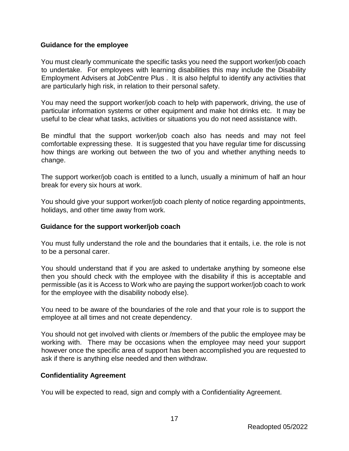### **Guidance for the employee**

You must clearly communicate the specific tasks you need the support worker/job coach to undertake. For employees with learning disabilities this may include the Disability Employment Advisers at JobCentre Plus . It is also helpful to identify any activities that are particularly high risk, in relation to their personal safety.

You may need the support worker/job coach to help with paperwork, driving, the use of particular information systems or other equipment and make hot drinks etc. It may be useful to be clear what tasks, activities or situations you do not need assistance with.

Be mindful that the support worker/job coach also has needs and may not feel comfortable expressing these. It is suggested that you have regular time for discussing how things are working out between the two of you and whether anything needs to change.

The support worker/job coach is entitled to a lunch, usually a minimum of half an hour break for every six hours at work.

You should give your support worker/job coach plenty of notice regarding appointments, holidays, and other time away from work.

### **Guidance for the support worker/job coach**

You must fully understand the role and the boundaries that it entails, i.e. the role is not to be a personal carer.

You should understand that if you are asked to undertake anything by someone else then you should check with the employee with the disability if this is acceptable and permissible (as it is Access to Work who are paying the support worker/job coach to work for the employee with the disability nobody else).

You need to be aware of the boundaries of the role and that your role is to support the employee at all times and not create dependency.

You should not get involved with clients or /members of the public the employee may be working with. There may be occasions when the employee may need your support however once the specific area of support has been accomplished you are requested to ask if there is anything else needed and then withdraw.

### **Confidentiality Agreement**

You will be expected to read, sign and comply with a Confidentiality Agreement.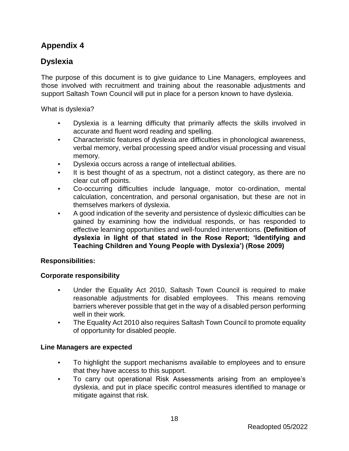# **Appendix 4**

# **Dyslexia**

The purpose of this document is to give guidance to Line Managers, employees and those involved with recruitment and training about the reasonable adjustments and support Saltash Town Council will put in place for a person known to have dyslexia.

What is dyslexia?

- Dyslexia is a learning difficulty that primarily affects the skills involved in accurate and fluent word reading and spelling.
- Characteristic features of dyslexia are difficulties in phonological awareness, verbal memory, verbal processing speed and/or visual processing and visual memory.
- Dyslexia occurs across a range of intellectual abilities.
- It is best thought of as a spectrum, not a distinct category, as there are no clear cut off points.
- Co-occurring difficulties include language, motor co-ordination, mental calculation, concentration, and personal organisation, but these are not in themselves markers of dyslexia.
- A good indication of the severity and persistence of dyslexic difficulties can be gained by examining how the individual responds, or has responded to effective learning opportunities and well-founded interventions. **(Definition of dyslexia in light of that stated in the Rose Report; 'Identifying and Teaching Children and Young People with Dyslexia') (Rose 2009)**

# **Responsibilities:**

# **Corporate responsibility**

- Under the Equality Act 2010, Saltash Town Council is required to make reasonable adjustments for disabled employees. This means removing barriers wherever possible that get in the way of a disabled person performing well in their work.
- The Equality Act 2010 also requires Saltash Town Council to promote equality of opportunity for disabled people.

# **Line Managers are expected**

- To highlight the support mechanisms available to employees and to ensure that they have access to this support.
- To carry out operational Risk Assessments arising from an employee's dyslexia, and put in place specific control measures identified to manage or mitigate against that risk.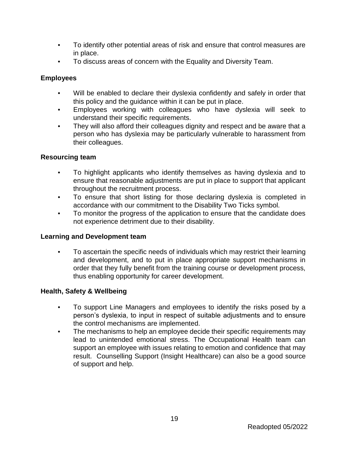- To identify other potential areas of risk and ensure that control measures are in place.
- To discuss areas of concern with the Equality and Diversity Team.

# **Employees**

- Will be enabled to declare their dyslexia confidently and safely in order that this policy and the guidance within it can be put in place.
- Employees working with colleagues who have dyslexia will seek to understand their specific requirements.
- They will also afford their colleagues dignity and respect and be aware that a person who has dyslexia may be particularly vulnerable to harassment from their colleagues.

# **Resourcing team**

- To highlight applicants who identify themselves as having dyslexia and to ensure that reasonable adjustments are put in place to support that applicant throughout the recruitment process.
- To ensure that short listing for those declaring dyslexia is completed in accordance with our commitment to the Disability Two Ticks symbol.
- To monitor the progress of the application to ensure that the candidate does not experience detriment due to their disability.

# **Learning and Development team**

• To ascertain the specific needs of individuals which may restrict their learning and development, and to put in place appropriate support mechanisms in order that they fully benefit from the training course or development process, thus enabling opportunity for career development.

# **Health, Safety & Wellbeing**

- To support Line Managers and employees to identify the risks posed by a person's dyslexia, to input in respect of suitable adjustments and to ensure the control mechanisms are implemented.
- The mechanisms to help an employee decide their specific requirements may lead to unintended emotional stress. The Occupational Health team can support an employee with issues relating to emotion and confidence that may result. Counselling Support (Insight Healthcare) can also be a good source of support and help.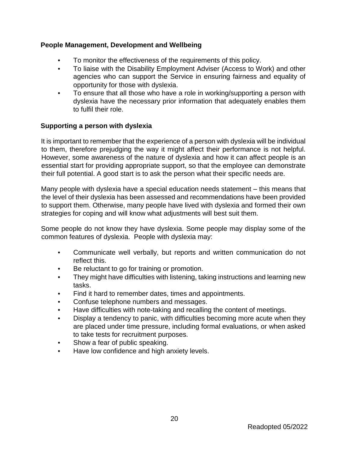## **People Management, Development and Wellbeing**

- To monitor the effectiveness of the requirements of this policy.
- To liaise with the Disability Employment Adviser (Access to Work) and other agencies who can support the Service in ensuring fairness and equality of opportunity for those with dyslexia.
- To ensure that all those who have a role in working/supporting a person with dyslexia have the necessary prior information that adequately enables them to fulfil their role.

### **Supporting a person with dyslexia**

It is important to remember that the experience of a person with dyslexia will be individual to them, therefore prejudging the way it might affect their performance is not helpful. However, some awareness of the nature of dyslexia and how it can affect people is an essential start for providing appropriate support, so that the employee can demonstrate their full potential. A good start is to ask the person what their specific needs are.

Many people with dyslexia have a special education needs statement – this means that the level of their dyslexia has been assessed and recommendations have been provided to support them. Otherwise, many people have lived with dyslexia and formed their own strategies for coping and will know what adjustments will best suit them.

Some people do not know they have dyslexia. Some people may display some of the common features of dyslexia. People with dyslexia may:

- Communicate well verbally, but reports and written communication do not reflect this.
- Be reluctant to go for training or promotion.
- They might have difficulties with listening, taking instructions and learning new tasks.
- Find it hard to remember dates, times and appointments.
- Confuse telephone numbers and messages.
- Have difficulties with note-taking and recalling the content of meetings.
- Display a tendency to panic, with difficulties becoming more acute when they are placed under time pressure, including formal evaluations, or when asked to take tests for recruitment purposes.
- Show a fear of public speaking.
- Have low confidence and high anxiety levels.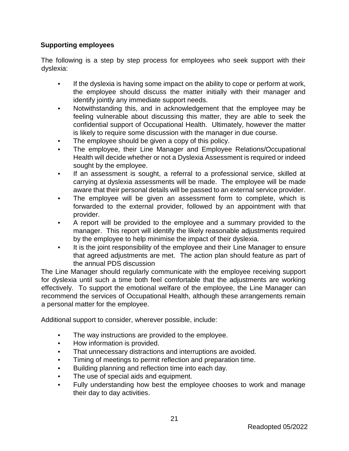# **Supporting employees**

The following is a step by step process for employees who seek support with their dyslexia:

- If the dyslexia is having some impact on the ability to cope or perform at work, the employee should discuss the matter initially with their manager and identify jointly any immediate support needs.
- Notwithstanding this, and in acknowledgement that the employee may be feeling vulnerable about discussing this matter, they are able to seek the confidential support of Occupational Health. Ultimately, however the matter is likely to require some discussion with the manager in due course.
- The employee should be given a copy of this policy.
- The employee, their Line Manager and Employee Relations/Occupational Health will decide whether or not a Dyslexia Assessment is required or indeed sought by the employee.
- If an assessment is sought, a referral to a professional service, skilled at carrying at dyslexia assessments will be made. The employee will be made aware that their personal details will be passed to an external service provider.
- The employee will be given an assessment form to complete, which is forwarded to the external provider, followed by an appointment with that provider.
- A report will be provided to the employee and a summary provided to the manager. This report will identify the likely reasonable adjustments required by the employee to help minimise the impact of their dyslexia.
- It is the joint responsibility of the employee and their Line Manager to ensure that agreed adjustments are met. The action plan should feature as part of the annual PDS discussion

The Line Manager should regularly communicate with the employee receiving support for dyslexia until such a time both feel comfortable that the adjustments are working effectively. To support the emotional welfare of the employee, the Line Manager can recommend the services of Occupational Health, although these arrangements remain a personal matter for the employee.

Additional support to consider, wherever possible, include:

- The way instructions are provided to the employee.
- How information is provided.
- That unnecessary distractions and interruptions are avoided.
- Timing of meetings to permit reflection and preparation time.
- Building planning and reflection time into each day.
- The use of special aids and equipment.
- Fully understanding how best the employee chooses to work and manage their day to day activities.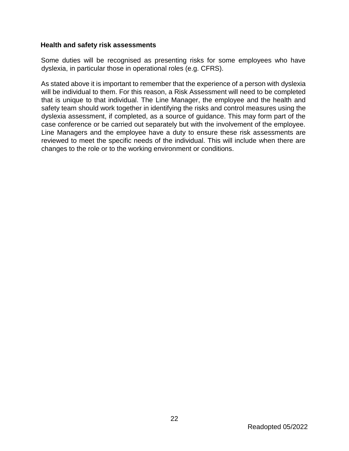### **Health and safety risk assessments**

Some duties will be recognised as presenting risks for some employees who have dyslexia, in particular those in operational roles (e.g. CFRS).

As stated above it is important to remember that the experience of a person with dyslexia will be individual to them. For this reason, a Risk Assessment will need to be completed that is unique to that individual. The Line Manager, the employee and the health and safety team should work together in identifying the risks and control measures using the dyslexia assessment, if completed, as a source of guidance. This may form part of the case conference or be carried out separately but with the involvement of the employee. Line Managers and the employee have a duty to ensure these risk assessments are reviewed to meet the specific needs of the individual. This will include when there are changes to the role or to the working environment or conditions.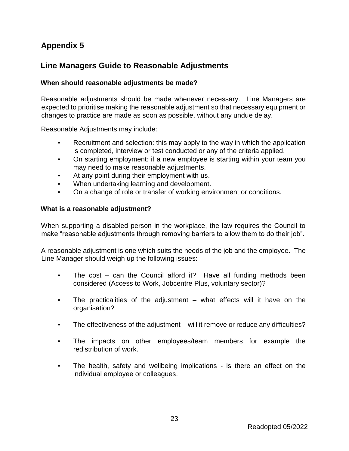# **Appendix 5**

# **Line Managers Guide to Reasonable Adjustments**

### **When should reasonable adjustments be made?**

Reasonable adjustments should be made whenever necessary. Line Managers are expected to prioritise making the reasonable adjustment so that necessary equipment or changes to practice are made as soon as possible, without any undue delay.

Reasonable Adjustments may include:

- Recruitment and selection: this may apply to the way in which the application is completed, interview or test conducted or any of the criteria applied.
- On starting employment: if a new employee is starting within your team you may need to make reasonable adjustments.
- At any point during their employment with us.
- When undertaking learning and development.
- On a change of role or transfer of working environment or conditions.

### **What is a reasonable adjustment?**

When supporting a disabled person in the workplace, the law requires the Council to make "reasonable adjustments through removing barriers to allow them to do their job".

A reasonable adjustment is one which suits the needs of the job and the employee. The Line Manager should weigh up the following issues:

- The  $cost can$  the Council afford it? Have all funding methods been considered (Access to Work, Jobcentre Plus, voluntary sector)?
- The practicalities of the adjustment what effects will it have on the organisation?
- The effectiveness of the adjustment will it remove or reduce any difficulties?
- The impacts on other employees/team members for example the redistribution of work.
- The health, safety and wellbeing implications is there an effect on the individual employee or colleagues.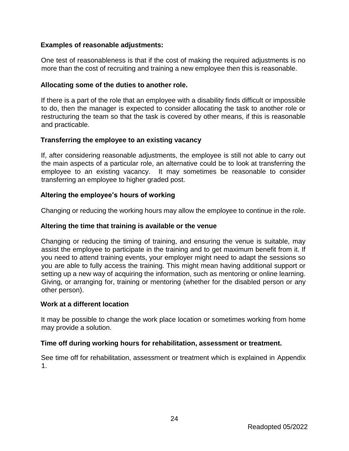### **Examples of reasonable adjustments:**

One test of reasonableness is that if the cost of making the required adjustments is no more than the cost of recruiting and training a new employee then this is reasonable.

### **Allocating some of the duties to another role.**

If there is a part of the role that an employee with a disability finds difficult or impossible to do, then the manager is expected to consider allocating the task to another role or restructuring the team so that the task is covered by other means, if this is reasonable and practicable.

### **Transferring the employee to an existing vacancy**

If, after considering reasonable adjustments, the employee is still not able to carry out the main aspects of a particular role, an alternative could be to look at transferring the employee to an existing vacancy. It may sometimes be reasonable to consider transferring an employee to higher graded post.

# **Altering the employee's hours of working**

Changing or reducing the working hours may allow the employee to continue in the role.

### **Altering the time that training is available or the venue**

Changing or reducing the timing of training, and ensuring the venue is suitable, may assist the employee to participate in the training and to get maximum benefit from it. If you need to attend training events, your employer might need to adapt the sessions so you are able to fully access the training. This might mean having additional support or setting up a new way of acquiring the information, such as mentoring or online learning. Giving, or arranging for, training or mentoring (whether for the disabled person or any other person).

### **Work at a different location**

It may be possible to change the work place location or sometimes working from home may provide a solution.

### **Time off during working hours for rehabilitation, assessment or treatment.**

See time off for rehabilitation, assessment or treatment which is explained in Appendix 1.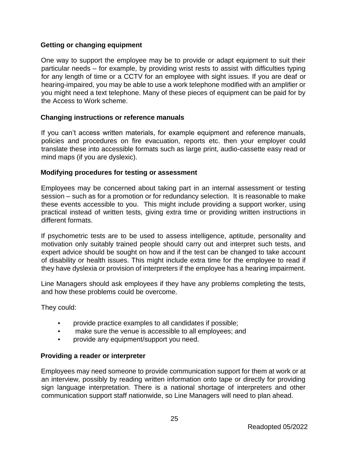### **Getting or changing equipment**

One way to support the employee may be to provide or adapt equipment to suit their particular needs – for example, by providing wrist rests to assist with difficulties typing for any length of time or a CCTV for an employee with sight issues. If you are deaf or hearing-impaired, you may be able to use a work telephone modified with an amplifier or you might need a text telephone. Many of these pieces of equipment can be paid for by the Access to Work scheme.

### **Changing instructions or reference manuals**

If you can't access written materials, for example equipment and reference manuals, policies and procedures on fire evacuation, reports etc. then your employer could translate these into accessible formats such as large print, audio-cassette easy read or mind maps (if you are dyslexic).

### **Modifying procedures for testing or assessment**

Employees may be concerned about taking part in an internal assessment or testing session – such as for a promotion or for redundancy selection. It is reasonable to make these events accessible to you. This might include providing a support worker, using practical instead of written tests, giving extra time or providing written instructions in different formats.

If psychometric tests are to be used to assess intelligence, aptitude, personality and motivation only suitably trained people should carry out and interpret such tests, and expert advice should be sought on how and if the test can be changed to take account of disability or health issues. This might include extra time for the employee to read if they have dyslexia or provision of interpreters if the employee has a hearing impairment.

Line Managers should ask employees if they have any problems completing the tests, and how these problems could be overcome.

They could:

- provide practice examples to all candidates if possible;
- make sure the venue is accessible to all employees; and
- provide any equipment/support you need.

### **Providing a reader or interpreter**

Employees may need someone to provide communication support for them at work or at an interview, possibly by reading written information onto tape or directly for providing sign language interpretation. There is a national shortage of interpreters and other communication support staff nationwide, so Line Managers will need to plan ahead.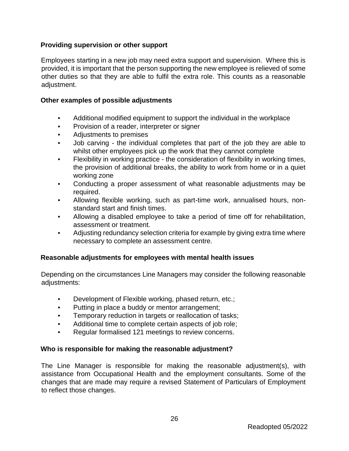## **Providing supervision or other support**

Employees starting in a new job may need extra support and supervision. Where this is provided, it is important that the person supporting the new employee is relieved of some other duties so that they are able to fulfil the extra role. This counts as a reasonable adjustment.

### **Other examples of possible adjustments**

- Additional modified equipment to support the individual in the workplace
- Provision of a reader, interpreter or signer
- Adjustments to premises
- Job carving the individual completes that part of the job they are able to whilst other employees pick up the work that they cannot complete
- Flexibility in working practice the consideration of flexibility in working times, the provision of additional breaks, the ability to work from home or in a quiet working zone
- Conducting a proper assessment of what reasonable adjustments may be required.
- Allowing flexible working, such as part-time work, annualised hours, nonstandard start and finish times.
- Allowing a disabled employee to take a period of time off for rehabilitation, assessment or treatment.
- Adjusting redundancy selection criteria for example by giving extra time where necessary to complete an assessment centre.

### **Reasonable adjustments for employees with mental health issues**

Depending on the circumstances Line Managers may consider the following reasonable adjustments:

- Development of Flexible working, phased return, etc.;
- Putting in place a buddy or mentor arrangement;
- Temporary reduction in targets or reallocation of tasks;
- Additional time to complete certain aspects of job role;
- Regular formalised 121 meetings to review concerns.

### **Who is responsible for making the reasonable adjustment?**

The Line Manager is responsible for making the reasonable adjustment(s), with assistance from Occupational Health and the employment consultants. Some of the changes that are made may require a revised Statement of Particulars of Employment to reflect those changes.